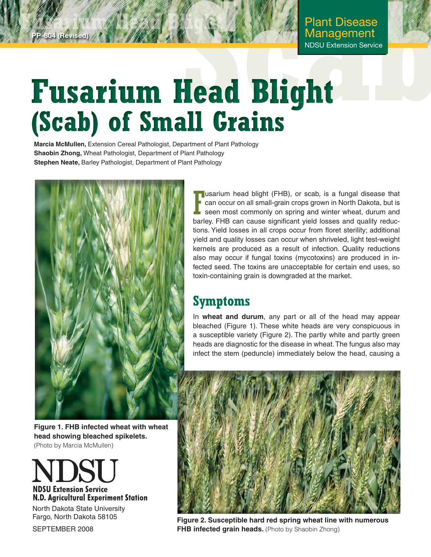# **Fasta Berised) 7.1 March 18 Management**<br> **Scab**) of Small Grains

**Marcia McMullen,** Extension Cereal Pathologist, Department of Plant Pathology **Shaobin Zhong,** Wheat Pathologist, Department of Plant Pathology **Stephen Neate,** Barley Pathologist, Department of Plant Pathology



**(Revised)** 

**T** usarium head blight (FHB), or scab, is a fungal disease that<br>
can occur on all small-grain crops grown in North Dakota, but is<br>
seen most commonly on spring and winter wheat, durum and<br>
herlow FHB are equal significant can occur on all small-grain crops grown in North Dakota, but is seen most commonly on spring and winter wheat, durum and barley. FHB can cause significant yield losses and quality reductions. Yield losses in all crops occur from floret sterility; additional yield and quality losses can occur when shriveled, light test-weight kernels are produced as a result of infection. Quality reductions also may occur if fungal toxins (mycotoxins) are produced in infected seed. The toxins are unacceptable for certain end uses, so toxin-containing grain is downgraded at the market.

# **Symptoms**

In **wheat and durum**, any part or all of the head may appear bleached (Figure 1). These white heads are very conspicuous in a susceptible variety (Figure 2). The partly white and partly green heads are diagnostic for the disease in wheat. The fungus also may infect the stem (peduncle) immediately below the head, causing a



**Figure 2. Susceptible hard red spring wheat line with numerous FHB infected grain heads.** (Photo by Shaobin Zhong)

**Figure 1. FHB infected wheat with wheat head showing bleached spikelets.**  (Photo by Marcia McMullen)



North Dakota State University Fargo, North Dakota 58105

SEPTEMBER 2008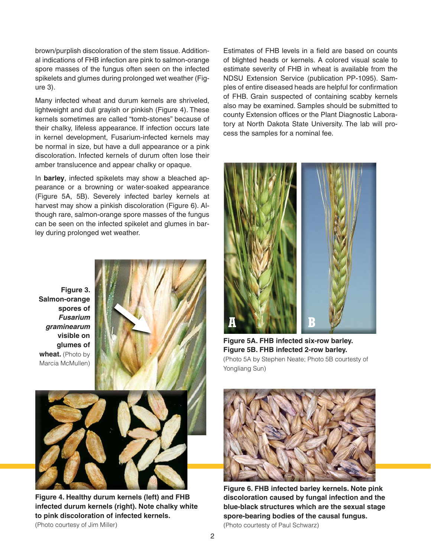brown/purplish discoloration of the stem tissue. Additional indications of FHB infection are pink to salmon-orange spore masses of the fungus often seen on the infected spikelets and glumes during prolonged wet weather (Figure 3).

Many infected wheat and durum kernels are shriveled, lightweight and dull grayish or pinkish (Figure 4). These kernels sometimes are called "tomb-stones" because of their chalky, lifeless appearance. If infection occurs late in kernel development, Fusarium-infected kernels may be normal in size, but have a dull appearance or a pink discoloration. Infected kernels of durum often lose their amber translucence and appear chalky or opaque.

In **barley**, infected spikelets may show a bleached appearance or a browning or water-soaked appearance (Figure 5A, 5B). Severely infected barley kernels at harvest may show a pinkish discoloration (Figure 6). Although rare, salmon-orange spore masses of the fungus can be seen on the infected spikelet and glumes in barley during prolonged wet weather.

**Figure 3. Salmon-orange spores of**  *Fusarium graminearum* **visible on glumes of**  wheat. (Photo by Marcia McMullen)





**Figure 4. Healthy durum kernels (left) and FHB infected durum kernels (right). Note chalky white to pink discoloration of infected kernels.** 

(Photo courtesy of Jim Miller)

Estimates of FHB levels in a field are based on counts of blighted heads or kernels. A colored visual scale to estimate severity of FHB in wheat is available from the NDSU Extension Service (publication PP-1095). Samples of entire diseased heads are helpful for confirmation of FHB. Grain suspected of containing scabby kernels also may be examined. Samples should be submitted to county Extension offices or the Plant Diagnostic Laboratory at North Dakota State University. The lab will process the samples for a nominal fee.



**Figure 5A. FHB infected six-row barley. Figure 5B. FHB infected 2-row barley.**  (Photo 5A by Stephen Neate; Photo 5B courtesty of Yongliang Sun)



**Figure 6. FHB infected barley kernels. Note pink discoloration caused by fungal infection and the blue-black structures which are the sexual stage spore-bearing bodies of the causal fungus.** (Photo courtesty of Paul Schwarz)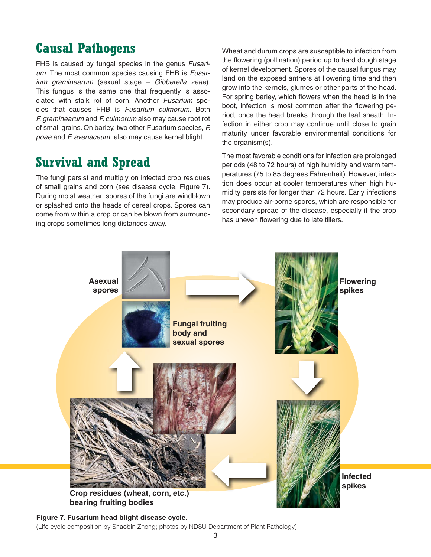# **Causal Pathogens**

FHB is caused by fungal species in the genus *Fusarium.* The most common species causing FHB is *Fusarium graminearum* (sexual stage – *Gibberella zeae*). This fungus is the same one that frequently is associated with stalk rot of corn. Another *Fusarium* species that causes FHB is *Fusarium culmorum*. Both *F. graminearum* and *F. culmorum* also may cause root rot of small grains. On barley, two other Fusarium species, *F. poae* and *F. avenaceum,* also may cause kernel blight.

# **Survival and Spread**

The fungi persist and multiply on infected crop residues of small grains and corn (see disease cycle, Figure 7). During moist weather, spores of the fungi are windblown or splashed onto the heads of cereal crops. Spores can come from within a crop or can be blown from surrounding crops sometimes long distances away.

Wheat and durum crops are susceptible to infection from the flowering (pollination) period up to hard dough stage of kernel development. Spores of the causal fungus may land on the exposed anthers at flowering time and then grow into the kernels, glumes or other parts of the head. For spring barley, which flowers when the head is in the boot, infection is most common after the flowering period, once the head breaks through the leaf sheath. Infection in either crop may continue until close to grain maturity under favorable environmental conditions for the organism(s).

The most favorable conditions for infection are prolonged periods (48 to 72 hours) of high humidity and warm temperatures (75 to 85 degrees Fahrenheit). However, infection does occur at cooler temperatures when high humidity persists for longer than 72 hours. Early infections may produce air-borne spores, which are responsible for secondary spread of the disease, especially if the crop has uneven flowering due to late tillers.



**Figure 7. Fusarium head blight disease cycle.**  (Life cycle composition by Shaobin Zhong; photos by NDSU Department of Plant Pathology)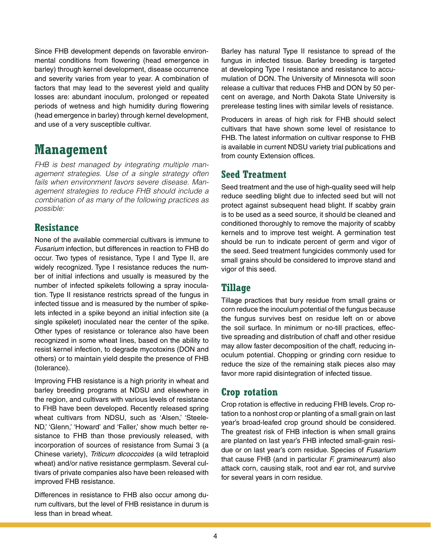Since FHB development depends on favorable environmental conditions from flowering (head emergence in barley) through kernel development, disease occurrence and severity varies from year to year. A combination of factors that may lead to the severest yield and quality losses are: abundant inoculum, prolonged or repeated periods of wetness and high humidity during flowering (head emergence in barley) through kernel development, and use of a very susceptible cultivar.

# **Management**

*FHB is best managed by integrating multiple management strategies. Use of a single strategy often fails when environment favors severe disease. Management strategies to reduce FHB should include a combination of as many of the following practices as possible:*

## **Resistance**

None of the available commercial cultivars is immune to *Fusarium* infection, but differences in reaction to FHB do occur. Two types of resistance, Type I and Type II, are widely recognized. Type I resistance reduces the number of initial infections and usually is measured by the number of infected spikelets following a spray inoculation. Type II resistance restricts spread of the fungus in infected tissue and is measured by the number of spikelets infected in a spike beyond an initial infection site (a single spikelet) inoculated near the center of the spike. Other types of resistance or tolerance also have been recognized in some wheat lines, based on the ability to resist kernel infection, to degrade mycotoxins (DON and others) or to maintain yield despite the presence of FHB (tolerance).

Improving FHB resistance is a high priority in wheat and barley breeding programs at NDSU and elsewhere in the region, and cultivars with various levels of resistance to FHB have been developed. Recently released spring wheat cultivars from NDSU, such as 'Alsen,' 'Steele-ND,' 'Glenn,' 'Howard' and 'Faller,' show much better resistance to FHB than those previously released, with incorporation of sources of resistance from Sumai 3 (a Chinese variety), *Triticum dicoccoides* (a wild tetraploid wheat) and/or native resistance germplasm. Several cultivars of private companies also have been released with improved FHB resistance.

Differences in resistance to FHB also occur among durum cultivars, but the level of FHB resistance in durum is less than in bread wheat.

Barley has natural Type II resistance to spread of the fungus in infected tissue. Barley breeding is targeted at developing Type I resistance and resistance to accumulation of DON. The University of Minnesota will soon release a cultivar that reduces FHB and DON by 50 percent on average, and North Dakota State University is prerelease testing lines with similar levels of resistance.

Producers in areas of high risk for FHB should select cultivars that have shown some level of resistance to FHB. The latest information on cultivar response to FHB is available in current NDSU variety trial publications and from county Extension offices.

## **Seed Treatment**

Seed treatment and the use of high-quality seed will help reduce seedling blight due to infected seed but will not protect against subsequent head blight. If scabby grain is to be used as a seed source, it should be cleaned and conditioned thoroughly to remove the majority of scabby kernels and to improve test weight. A germination test should be run to indicate percent of germ and vigor of the seed. Seed treatment fungicides commonly used for small grains should be considered to improve stand and vigor of this seed.

## **Tillage**

Tillage practices that bury residue from small grains or corn reduce the inoculum potential of the fungus because the fungus survives best on residue left on or above the soil surface. In minimum or no-till practices, effective spreading and distribution of chaff and other residue may allow faster decomposition of the chaff, reducing inoculum potential. Chopping or grinding corn residue to reduce the size of the remaining stalk pieces also may favor more rapid disintegration of infected tissue.

## **Crop rotation**

Crop rotation is effective in reducing FHB levels. Crop rotation to a nonhost crop or planting of a small grain on last year's broad-leafed crop ground should be considered. The greatest risk of FHB infection is when small grains are planted on last year's FHB infected small-grain residue or on last year's corn residue. Species of *Fusarium* that cause FHB (and in particular *F. graminearum*) also attack corn, causing stalk, root and ear rot, and survive for several years in corn residue.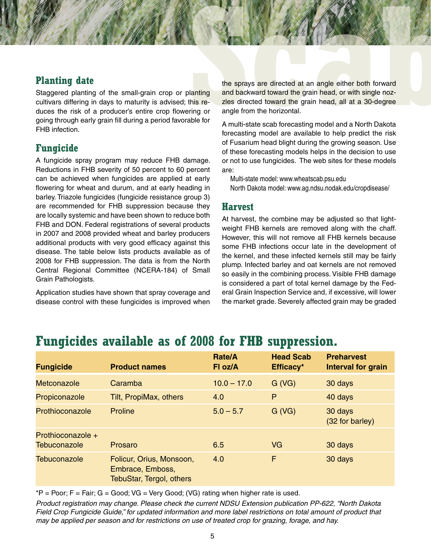### **Planting date**

Staggered planting of the small-grain crop or planting cultivars differing in days to maturity is advised; this reduces the risk of a producer's entire crop flowering or going through early grain fill during a period favorable for FHB infection.

## **Fungicide**

A fungicide spray program may reduce FHB damage. Reductions in FHB severity of 50 percent to 60 percent can be achieved when fungicides are applied at early flowering for wheat and durum, and at early heading in barley. Triazole fungicides (fungicide resistance group 3) are recommended for FHB suppression because they are locally systemic and have been shown to reduce both FHB and DON. Federal registrations of several products in 2007 and 2008 provided wheat and barley producers additional products with very good efficacy against this disease. The table below lists products available as of 2008 for FHB suppression. The data is from the North Central Regional Committee (NCERA-184) of Small Grain Pathologists.

Application studies have shown that spray coverage and disease control with these fungicides is improved when

the sprays are directed at an angle either both forward<br>lanting and backward toward the grain head, or with single noz-<br>this re-<br>zles directed toward the grain head, or with single noz-<br>ring or angle from the horizontal.<br>a the sprays are directed at an angle either both forward and backward toward the grain head, or with single nozzles directed toward the grain head, all at a 30-degree angle from the horizontal.

A multi-state scab forecasting model and a North Dakota forecasting model are available to help predict the risk of Fusarium head blight during the growing season. Use of these forecasting models helps in the decision to use or not to use fungicides. The web sites for these models are:

Multi-state model: www.wheatscab.psu.edu

North Dakota model: www.ag.ndsu.nodak.edu/cropdisease/

#### **Harvest**

At harvest, the combine may be adjusted so that lightweight FHB kernels are removed along with the chaff. However, this will not remove all FHB kernels because some FHB infections occur late in the development of the kernel, and these infected kernels still may be fairly plump. Infected barley and oat kernels are not removed so easily in the combining process. Visible FHB damage is considered a part of total kernel damage by the Federal Grain Inspection Service and, if excessive, will lower the market grade. Severely affected grain may be graded

# **Fungicides available as of 2008 for FHB suppression.**

| <b>Fungicide</b>                         | <b>Product names</b>                                                            | <b>Rate/A</b><br>FI oz/A | <b>Head Scab</b><br>Efficacy* | <b>Preharvest</b><br><b>Interval for grain</b> |
|------------------------------------------|---------------------------------------------------------------------------------|--------------------------|-------------------------------|------------------------------------------------|
| <b>Metconazole</b>                       | Caramba                                                                         | $10.0 - 17.0$            | G (VG)                        | 30 days                                        |
| Propiconazole                            | Tilt, PropiMax, others                                                          | 4.0                      | P                             | 40 days                                        |
| Prothioconazole                          | <b>Proline</b>                                                                  | $5.0 - 5.7$              | G (VG)                        | 30 days<br>(32 for barley)                     |
| Prothioconazole +<br><b>Tebuconazole</b> | Prosaro                                                                         | 6.5                      | VG                            | 30 days                                        |
| <b>Tebuconazole</b>                      | Folicur, Orius, Monsoon,<br>Embrace, Emboss,<br><b>TebuStar, Tergol, others</b> | 4.0                      | F                             | 30 days                                        |

 $*P = Poor; F = Fair; G = Good; VG = Very Good; (VG) rating when higher rate is used.$ 

*Product registration may change. Please check the current NDSU Extension publication PP-622, "North Dakota Field Crop Fungicide Guide," for updated information and more label restrictions on total amount of product that may be applied per season and for restrictions on use of treated crop for grazing, forage, and hay.*